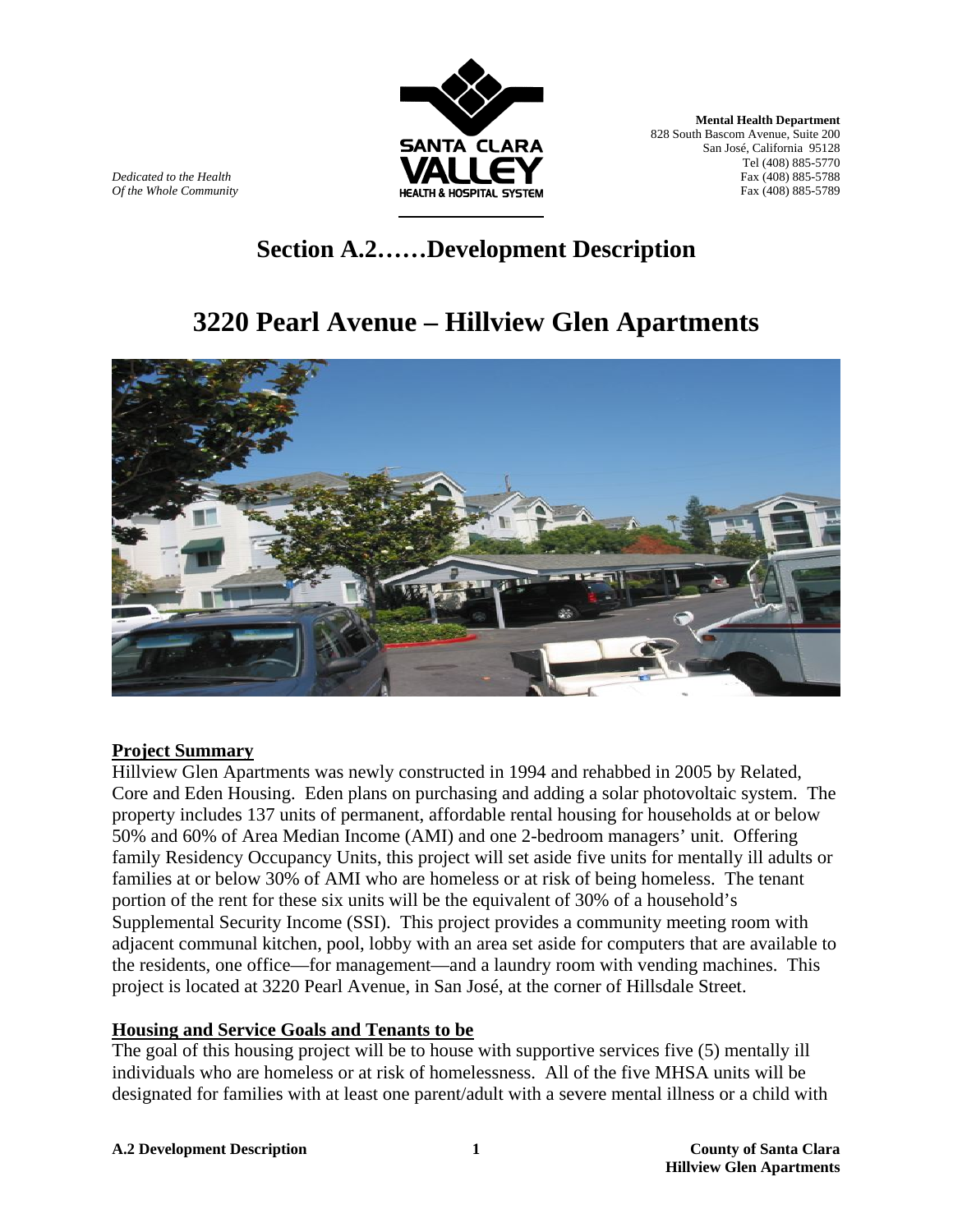

**Mental Health Department**  828 South Bascom Avenue, Suite 200 San José, California 95128 Tel (408) 885-5770 *Dedicated to the Health* Fax (408) 885-5788 *Of the Whole Community* Fax (408) 885-5789

# **Section A.2……Development Description**

# **3220 Pearl Avenue – Hillview Glen Apartments**



#### **Project Summary**

Hillview Glen Apartments was newly constructed in 1994 and rehabbed in 2005 by Related, Core and Eden Housing. Eden plans on purchasing and adding a solar photovoltaic system. The property includes 137 units of permanent, affordable rental housing for households at or below 50% and 60% of Area Median Income (AMI) and one 2-bedroom managers' unit. Offering family Residency Occupancy Units, this project will set aside five units for mentally ill adults or families at or below 30% of AMI who are homeless or at risk of being homeless. The tenant portion of the rent for these six units will be the equivalent of 30% of a household's Supplemental Security Income (SSI). This project provides a community meeting room with adjacent communal kitchen, pool, lobby with an area set aside for computers that are available to the residents, one office—for management—and a laundry room with vending machines. This project is located at 3220 Pearl Avenue, in San José, at the corner of Hillsdale Street.

## **Housing and Service Goals and Tenants to be**

The goal of this housing project will be to house with supportive services five (5) mentally ill individuals who are homeless or at risk of homelessness. All of the five MHSA units will be designated for families with at least one parent/adult with a severe mental illness or a child with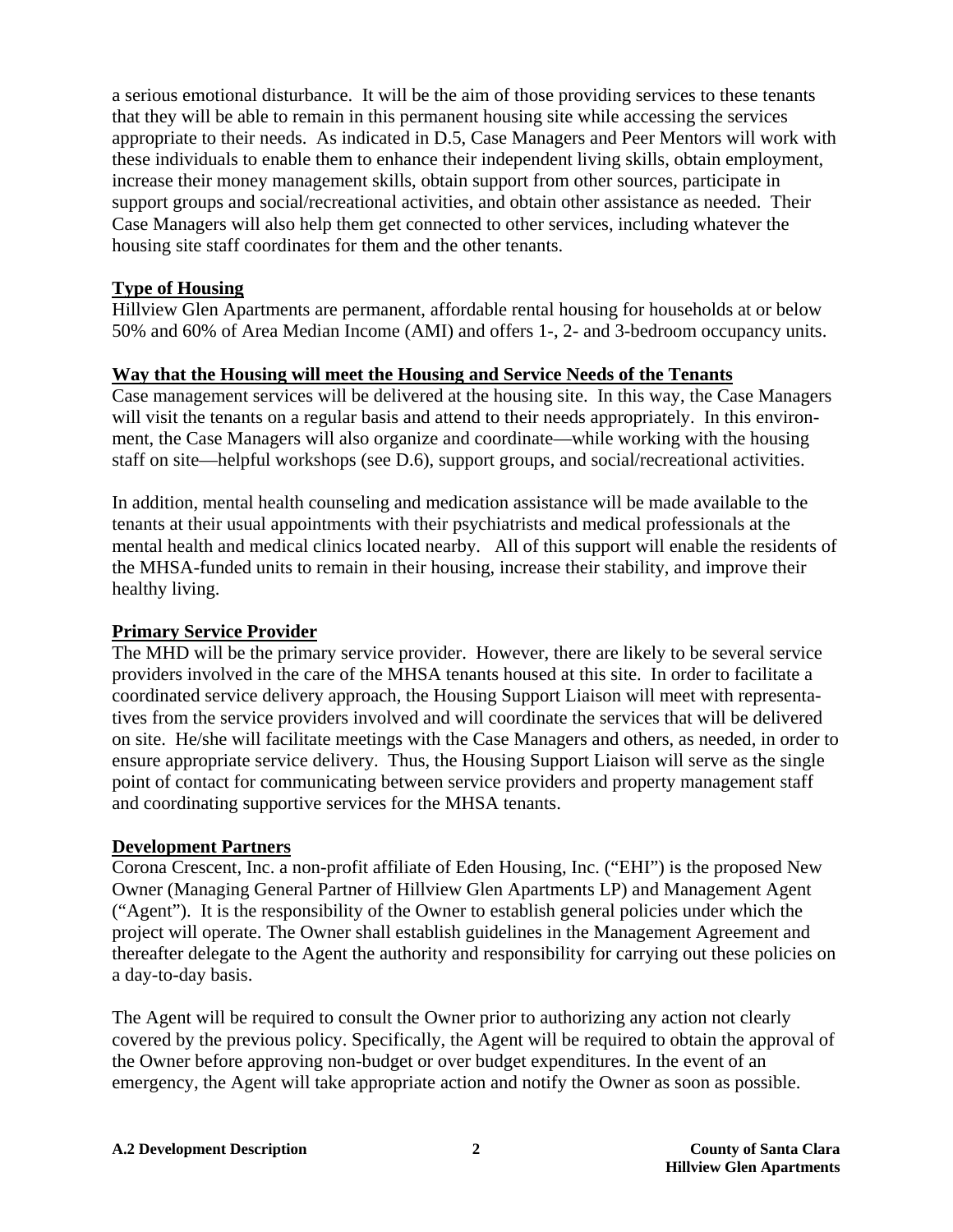a serious emotional disturbance. It will be the aim of those providing services to these tenants that they will be able to remain in this permanent housing site while accessing the services appropriate to their needs. As indicated in D.5, Case Managers and Peer Mentors will work with these individuals to enable them to enhance their independent living skills, obtain employment, increase their money management skills, obtain support from other sources, participate in support groups and social/recreational activities, and obtain other assistance as needed. Their Case Managers will also help them get connected to other services, including whatever the housing site staff coordinates for them and the other tenants.

#### **Type of Housing**

Hillview Glen Apartments are permanent, affordable rental housing for households at or below 50% and 60% of Area Median Income (AMI) and offers 1-, 2- and 3-bedroom occupancy units.

#### **Way that the Housing will meet the Housing and Service Needs of the Tenants**

Case management services will be delivered at the housing site. In this way, the Case Managers will visit the tenants on a regular basis and attend to their needs appropriately. In this environment, the Case Managers will also organize and coordinate—while working with the housing staff on site—helpful workshops (see D.6), support groups, and social/recreational activities.

In addition, mental health counseling and medication assistance will be made available to the tenants at their usual appointments with their psychiatrists and medical professionals at the mental health and medical clinics located nearby. All of this support will enable the residents of the MHSA-funded units to remain in their housing, increase their stability, and improve their healthy living.

## **Primary Service Provider**

The MHD will be the primary service provider. However, there are likely to be several service providers involved in the care of the MHSA tenants housed at this site. In order to facilitate a coordinated service delivery approach, the Housing Support Liaison will meet with representatives from the service providers involved and will coordinate the services that will be delivered on site. He/she will facilitate meetings with the Case Managers and others, as needed, in order to ensure appropriate service delivery. Thus, the Housing Support Liaison will serve as the single point of contact for communicating between service providers and property management staff and coordinating supportive services for the MHSA tenants.

## **Development Partners**

Corona Crescent, Inc. a non-profit affiliate of Eden Housing, Inc. ("EHI") is the proposed New Owner (Managing General Partner of Hillview Glen Apartments LP) and Management Agent ("Agent"). It is the responsibility of the Owner to establish general policies under which the project will operate. The Owner shall establish guidelines in the Management Agreement and thereafter delegate to the Agent the authority and responsibility for carrying out these policies on a day-to-day basis.

The Agent will be required to consult the Owner prior to authorizing any action not clearly covered by the previous policy. Specifically, the Agent will be required to obtain the approval of the Owner before approving non-budget or over budget expenditures. In the event of an emergency, the Agent will take appropriate action and notify the Owner as soon as possible.